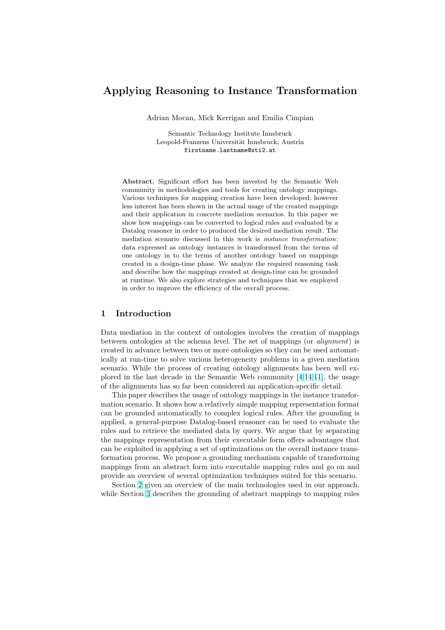# Applying Reasoning to Instance Transformation

Adrian Mocan, Mick Kerrigan and Emilia Cimpian

Semantic Technology Institute Innsbruck Leopold-Franzens Universität Innsbruck, Austria firstname.lastname@sti2.at

Abstract. Significant effort has been invested by the Semantic Web community in methodologies and tools for creating ontology mappings. Various techniques for mapping creation have been developed; however less interest has been shown in the actual usage of the created mappings and their application in concrete mediation scenarios. In this paper we show how mappings can be converted to logical rules and evaluated by a Datalog reasoner in order to produced the desired mediation result. The mediation scenario discussed in this work is instance transformation: data expressed as ontology instances is transformed from the terms of one ontology in to the terms of another ontology based on mappings created in a design-time phase. We analyze the required reasoning task and describe how the mappings created at design-time can be grounded at runtime. We also explore strategies and techniques that we employed in order to improve the efficiency of the overall process.

### 1 Introduction

Data mediation in the context of ontologies involves the creation of mappings between ontologies at the schema level. The set of mappings (or alignment) is created in advance between two or more ontologies so they can be used automatically at run-time to solve various heterogeneity problems in a given mediation scenario. While the process of creating ontology alignments has been well explored in the last decade in the Semantic Web community  $[4,14,11]$ , the usage of the alignments has so far been considered an application-specific detail.

This paper describes the usage of ontology mappings in the instance transformation scenario. It shows how a relatively simple mapping representation format can be grounded automatically to complex logical rules. Aft[er the g](#page-11-0)rounding is applied, a general-purpose Datalog-based reasoner can be used to evaluate the rules and to retrieve the mediated data by query. We argue that by separating the mappings representation from their executable form offers advantages that can be exploited in applying a set of optimizations on the overall instance transformation process. We propose a grounding mechanism capable of transforming mappings from an abstract form into executable mapping rules and go on and provide an overview of several optimization techniques suited for this scenario.

Section 2 given an overview of the main technologies used in our approach, while Section 3 describes the grounding of abstract mappings to mapping rules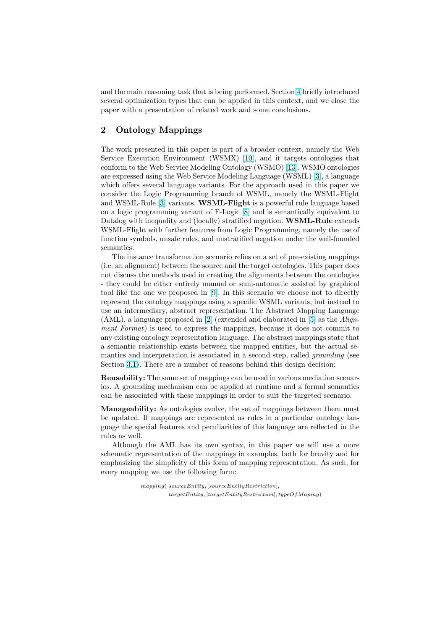<span id="page-1-0"></span>and the main reasoning task that is being performed. Section 4 briefly introduced several optimization types that can be applied in this context, and we close the paper with a presentation of related work and some conclusions.

### 2 Ontology Mappings

The work presented in this paper is part of a broader context, namely the Web Service Execution Environment (WSMX) [10], and it targets ontologies that conform to the Web Service Modeling Ontology (WSMO) [13]. WSMO ontologies are expressed using the Web Service Modeling Language (WSML) [3], a language which offers several language variants. For the approach used in this paper we consider the Logic Programming branch of [W](#page-11-0)SML, namely the WSML-Flight and WSML-Rule [3] variants. WSML-Flight is a power[ful r](#page-11-0)ule language based on a logic programming variant of F-Logic [8] and is semantically [e](#page-11-0)quivalent to Datalog with inequality and (locally) stratified negation. **WSML-Rule** extends WSML-Flight with further features from Logic Programming, namely the use of function symbols, [un](#page-11-0)safe rules, and unstratified negation under the well-founded semantics.

The instance transformation scenario relies on a set of pre-existing mappings (i.e. an alignment) between the source and the target ontologies. This paper does not discuss the methods used in creating the alignments between the ontologies - they could be either entirely manual or semi-automatic assisted by graphical tool like the one we proposed in [9]. In this scenario we choose not to directly represent the ontology mappings using a specific WSML variants, but instead to use an intermediary, abstract representation. The Abstract Mapping Language  $(AML)$ , a language proposed in [2] (extended and elaborated in [5] as the Alignment Format) is used to express [th](#page-11-0)e mappings, because it does not commit to any existing ontology representation language. The abstract mappings state that a semantic relationship exists between the mapped entities, but the actual semantics and interpretation is as[so](#page-11-0)ciated in a second step, called [g](#page-11-0)rounding (see Section 3.1). There are a number of reasons behind this design decision:

Reusability: The same set of mappings can be used in various mediation scenarios. A grounding mechanism can be applied at runtime and a formal semantics can be [asso](#page-2-0)ciated with these mappings in order to suit the targeted scenario.

Manageability: As ontologies evolve, the set of mappings between them must be updated. If mappings are represented as rules in a particular ontology language the special features and peculiarities of this language are reflected in the rules as well.

Although the AML has its own syntax, in this paper we will use a more schematic representation of the mappings in examples, both for brevity and for emphasizing the simplicity of this form of mapping representation. As such, for every mapping we use the following form:

> mapping( sourceEntity, [sourceEntityRestriction],  $targetEntity, [targetEntityRestriction], typeOfMapping)$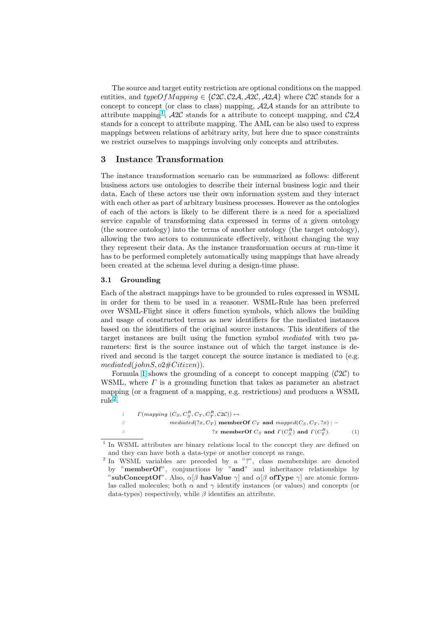<span id="page-2-0"></span>The source and target entity restriction are optional conditions on the mapped entities, and typeOfMapping  $\in \{C2C, C2A, A2C, A2A\}$  where C2C stands for a concept to concept (or class to class) mapping, A2A stands for an attribute to attribute mapping<sup>1</sup>,  $A2C$  stands for a attribute to concept mapping, and  $C2A$ stands for a concept to attribute mapping. The AML can be also used to express mappings between relations of arbitrary arity, but here due to space constraints we restrict ourselves to mappings involving only concepts and attributes.

### 3 Instance Transformation

The instance transformation scenario can be summarized as follows: different business actors use ontologies to describe their internal business logic and their data. Each of these actors use their own information system and they interact with each other as part of arbitrary business processes. However as the ontologies of each of the actors is likely to be different there is a need for a specialized service capable of transforming data expressed in terms of a given ontology (the source ontology) into the terms of another ontology (the target ontology), allowing the two actors to communicate effectively, without changing the way they represent their data. As the instance transformation occurs at run-time it has to be performed completely automatically using mappings that have already been created at the schema level during a design-time phase.

#### 3.1 Grounding

Each of the abstract mappings have to be grounded to rules expressed in WSML in order for them to be used in a reasoner. WSML-Rule has been preferred over WSML-Flight since it offers function symbols, which allows the building and usage of constructed terms as new identifiers for the mediated instances based on the identifiers of the original source instances. This identifiers of the target instances are built using the function symbol mediated with two parameters: first is the source instance out of which the target instance is derived and second is the target concept the source instance is mediated to (e.g.  $mediated(johnS, o2\#Citizen)).$ 

Formula 1 shows the grounding of a concept to concept mapping  $(C2C)$  to WSML, where  $\Gamma$  is a grounding function that takes as parameter an abstract mapping (or a fragment of a mapping, e.g. restrictions) and produces a WSML  $rule<sup>2</sup>$ .

|     | $\Gamma(mapping (C_S, C_S^R, C_T, C_T^R, C_2^C)) \mapsto$                |     |
|-----|--------------------------------------------------------------------------|-----|
|     | mediated(?x, $C_T$ ) member Of $C_T$ and mapped( $C_S$ , $C_T$ , ?x) : - |     |
| - 3 | ?x memberOf $C_S$ and $\Gamma(C_S^R)$ and $\Gamma(C_T^R)$ .              | (1) |

<sup>&</sup>lt;sup>1</sup> In WSML attributes are binary relations local to the concept they are defined on and they can have both a data-type or another concept as range.

<sup>&</sup>lt;sup>2</sup> In WSML variables are preceded by a "?", class memberships are denoted by "memberOf", conjunctions by "and" and inheritance relationships by "subConceptOf". Also,  $\alpha[\beta]$  hasValue  $\gamma$  and  $\alpha[\beta]$  of Type  $\gamma$  are atomic formulas called molecules; both  $\alpha$  and  $\gamma$  identify instances (or values) and concepts (or data-types) respectively, while  $\beta$  identifies an attribute.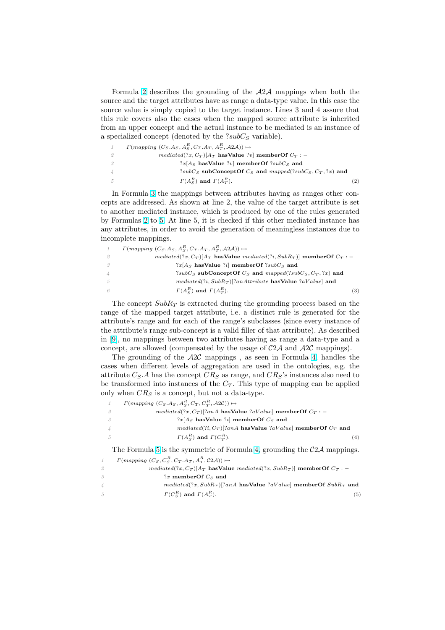Formula 2 describes the grounding of the  $A2A$  mappings when both the source and the target attributes have as range a data-type value. In this case the source value is simply copied to the target instance. Lines 3 and 4 assure that this rule covers also the cases when the mapped source attribute is inherited from an upper concept and the actual instance to be mediated is an instance of a specialized concept (denoted by the  $?subC<sub>S</sub>$  variable).

| 1   | $\Gamma(mapping~(C_S.A_S, A_S^R, C_T.A_T, A_T^R, \mathcal{A}2\mathcal{A})) \mapsto$ |     |
|-----|-------------------------------------------------------------------------------------|-----|
|     | <i>mediated</i> (?x, $C_T$ )[ $A_T$ has Value ?v] member Of $C_T$ : -               |     |
| -3  | $?x[AS$ has Value ?v] member Of $?subCS$ and                                        |     |
| 4   | $?subCS subConceptOf CS and mapped (?subCS, CT, ?x)$ and                            |     |
| - 5 | $\Gamma(A_{\sigma}^R)$ and $\Gamma(A_{\sigma}^R)$ .                                 | (2) |

In Formula 3 the mappings between attributes having as ranges other concepts are addressed. As shown at line 2, the value of the target attribute is set to another mediated instance, which is produced by one of the rules generated by Formulas 2 to 5. At line 5, it is checked if this other mediated instance has any attributes, in order to avoid the generation of meaningless instances due to incomplete mappings.

|               | $\Gamma(mapping~(C_S.A_S, A_S^R, C_T.A_T, A_T^R, A2A)) \mapsto$                                               |
|---------------|---------------------------------------------------------------------------------------------------------------|
|               | mediated(?x, C <sub>T</sub> )  $A_T$ has Value mediated(?i, SubR <sub>T</sub> )  member Of C <sub>T</sub> : - |
| - 3           | $?x[AS$ has Value ? <i>i</i>   member Of ? <i>subC<sub>S</sub></i> and                                        |
| $\frac{1}{4}$ | $?subCS subConceptOf CS and mapped (?subCS, CT, ?x)$ and                                                      |
| - 5           | $mediated(?i, SubR_T)[?anAttribute$ has Value $?aValue$ and                                                   |
|               | $\Gamma(A_{\sigma}^R)$ and $\Gamma(A_{\sigma}^R)$ .<br>(3)                                                    |

The concept  $SubR<sub>T</sub>$  is extracted during the grounding process based on the range of the mapped target attribute, i.e. a distinct rule is generated for the attribute's range and for each of the range's subclasses (since every instance of the attribute's range sub-concept is a valid filler of that attribute). As described in [9], no mappings between two attributes having as range a data-type and a concept, are allowed (compensated by the usage of  $C2A$  and  $A2C$  mappings).

The grounding of the  $A2C$  mappings, as seen in Formula 4, handles the cases when different levels of aggregation are used in the ontologies, e.g. the att[rib](#page-11-0)ute  $C_S.A$  has the concept  $CR_S$  as range, and  $CR_S$ 's instances also need to be transformed into instances of the  $C_T$ . This type of mapping can be applied only when  $CR_S$  is a concept, but not a data-type.

| $\Gamma(mapping (C_S.A_S, A_S^R, C_T, C_T^R, \mathcal{A}2\mathcal{C})) \mapsto$                    |
|----------------------------------------------------------------------------------------------------|
| mediated(?x, $C_T$ )[?anA hasValue ?aValue] memberOf $C_T$ : -                                     |
| $2x[AS$ has Value $2i$ member Of $CS$ and                                                          |
| <i>mediated</i> (? <i>i</i> , $C_T$ )[? <i>anA</i> has Value ? <i>aValue</i> ] member Of $C_T$ and |
| $\Gamma(A_{\sigma}^R)$ and $\Gamma(C_{\tau}^R)$ .<br>(4)                                           |

The Formula 5 is the symmetric of Formula 4, grounding the  $\mathcal{C}2\mathcal{A}$  mappings.

|    | $\Gamma(mapping (C_S, C_S^R, C_T.A_T, A_T^R, C2\mathcal{A})) \mapsto$          |
|----|--------------------------------------------------------------------------------|
| 2  | mediated $(?x,C_T)[A_T]$ has Value mediated $(?x,SubR_T)]$ member Of $C_T$ : - |
| 3  | ?x memberOf $C_s$ and                                                          |
| 4  | $mediated(?x, SubR_T)[?anA$ has Value $?aValue$ member Of $SubR_T$ and         |
| -5 | $\Gamma(C_{\mathcal{S}}^R)$ and $\Gamma(A_{\mathcal{T}}^R)$ .<br>(5)           |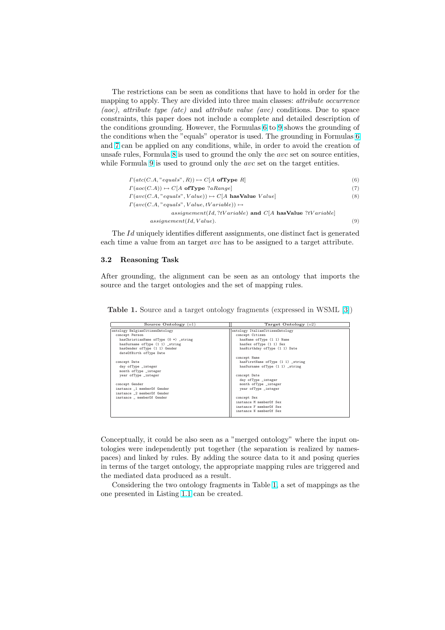<span id="page-4-0"></span>The restrictions can be seen as conditions that have to hold in order for the mapping to apply. They are divided into three main classes: *attribute occurrence* (aoc), attribute type (atc) and attribute value (avc) conditions. Due to space constraints, this paper does not include a complete and detailed description of the conditions grounding. However, the Formulas 6 to 9 shows the grounding of the conditions when the "equals" operator is used. The grounding in Formulas 6 and 7 can be applied on any conditions, while, in order to avoid the creation of unsafe rules, Formula 8 is used to ground the only the avc set on source entities, while Formula 9 is used to ground only the *avc* set on the target entities.

| $\Gamma(\text{atc}(C.A, "equals", R)) \mapsto C[A \text{ ofType } R]$    | (6) |
|--------------------------------------------------------------------------|-----|
| $\Gamma(aoc(C.A)) \mapsto C[A \text{ ofType } ? a Range]$                | (7) |
| $\Gamma(avc(C.A, "equals", Value)) \mapsto C[A \text{ hasValue } Value]$ | (8) |
| $\Gamma(avc(C.A., "equals", Value, tVariable)) \mapsto$                  |     |
| assignement(Id,?tVariable) and $C[A]$ has Value ?tVariable               |     |
| assignment (Id, Value).                                                  |     |

The Id uniquely identifies different assignments, one distinct fact is generated each time a value from an target avc has to be assigned to a target attribute.

#### 3.2 Reasoning Task

After grounding, the alignment can be seen as an ontology that imports the source and the target ontologies and the set of mapping rules.

Table 1. Source and a target ontology fragments (expressed in WSML [3])

| Target Ontology $(02)$            |
|-----------------------------------|
| ontology ItalianCitizenOntology   |
| concept Citizen                   |
| hasName ofType (1 1) Name         |
| hasSex ofType (1 1) Sex           |
| hasBirthday ofType (1 1) Date     |
|                                   |
| concept Name                      |
| hasFirstName ofType (1 1) _string |
| hasSurname ofType (1 1) _string   |
|                                   |
| concept Date                      |
| day ofType _integer               |
| month ofType _integer             |
| year ofType _integer              |
|                                   |
| concept Sex                       |
| instance M memberOf Sex           |
| instance F memberOf Sex           |
| instance N memberOf Sex           |
|                                   |

Conceptually, it could be also seen as a "merged ontology" where the input ontologies were independently put together (the separation is realized by namespaces) and linked by rules. By adding the source data to it and posing queries in terms of the target ontology, the appropriate mapping rules are triggered and the mediated data produced as a result.

Considering the two ontology fragments in Table 1, a set of mappings as the one presented in Listing 1.1 can be created.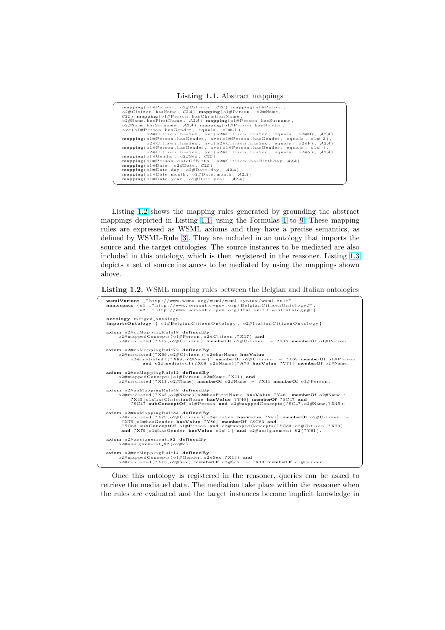Listing 1.1. Abstract mappings

| $mapping(01#Person, 02#Citizen, C2C) mapping(01#Person,$                                                                                     |
|----------------------------------------------------------------------------------------------------------------------------------------------|
| $o2\#$ Citizen.hasName, $C2\mathcal{A}$ ) mapping( $o1\#$ Person, $o2\#$ Name,                                                               |
| $C2C$ ) mapping ( $o1\#Person. has Christian Name$ ,                                                                                         |
| $o2\#Name. hasFirstName, A2A) mapping (o1\#Person. hasSurname,$                                                                              |
| $o2\#Name. hasSurname, A2A) mapping (o1\#Person. hasGender,$                                                                                 |
| $\alpha$ vc(o1#Person.hasGender, equals, o1# $-1$ ),                                                                                         |
| $o2\#$ Citizen.hasSex, avc( $o2\#$ Citizen.hasSex, equals, $o2\#M$ ), $A2A$ )                                                                |
| $mapping( of \# Person. hasGender, avc( of \#Person. hasGender, equals, of \#2),$                                                            |
| $o2\#$ Citizen.hasSex, avc( $o2\#$ Citizen.hasSex, equals, $o2\#$ F), $A2A$ )                                                                |
| $mapping(o1#Person. hasGender, avc(o1#Person. hasGender, equals, o1#_-),$                                                                    |
| $o2\#$ Citizen.hasSex, avc( $o2\#$ Citizen.hasSex, equals, $o2\#N$ ), $A2A$ )                                                                |
| mapping(01#Gender, 02#Sex, C2C)                                                                                                              |
| $\mathbf{mapping}(\text{of} \# \text{Person}. \text{dateOfBirth}, \text{of} \# \text{Citizen}. \text{hasBirthday}, \mathcal{A}2\mathcal{A})$ |
| mapping ( $o1\#Date$ , $o2\#Date$ , $C2C$ )                                                                                                  |
| $\mathbf{mapping}(\text{o1#Date day}, \text{o2#Date day}, \text{A2A})$                                                                       |
| $\text{mapping}(o1\#Date \cdot \text{month}, o2\#Date \cdot \text{month}, \mathcal{A}2\mathcal{A})$                                          |
| $\mathbf{mapping}(\text{o1#Date}.\text{year}, \text{o2#Date}.\text{year}, \text{A2A})$                                                       |
|                                                                                                                                              |

Listing 1.2 shows the mapping rules generated by grounding the abstract mappings depicted in Listing 1.1, using the Formulas 1 to 9. These mapping rules are expressed as WSML axioms and they have a precise semantics, as defined by WSML-Rule [3]. They are included in an ontology that imports the source and the target ontologies. The source instances to be mediated are also included in this ontology, which is then registered in t[he](#page-1-0) re[as](#page-4-0)oner. Listing 1.3 depicts a set of source instances to be mediated by using the mappings shown above.

Listing 1.2. WSML mapping rules between the Belgian and Italian ontolo[gies](#page-6-0)

| wsmlVariant _"http://www.wsmo.org/wsml/wsml-syntax/wsml-rule"<br>namespace {o1 _"http://www.semantic-gov.org/BelgianCitizenOntology#",<br>o2 _"http://www.semantic-gov.org/ItalianCitizenOntology#"}                                                                                                                                                      |
|-----------------------------------------------------------------------------------------------------------------------------------------------------------------------------------------------------------------------------------------------------------------------------------------------------------------------------------------------------------|
| ontology merged_ontology<br>importsOntology { $o1\#BelgianCitizenOntology$ , $o2\#ItalianCitizenOntology$ }                                                                                                                                                                                                                                               |
| axiom o2#ccMappingRule18 definedBy<br>o2#mappedConcepts(o1#Person,o2#Citizen,?X17) and<br>$o2\# mediated$ (?X17, $o2\#Citize$ n) memberOf $o2\#Citize$ n :- ?X17 memberOf $o1\#Person$ .                                                                                                                                                                  |
| axiom o2#caMappingRule72 definedBy<br>o2#mediated(?X69,o2#Citizen)[o2#hasName hasValue<br>$o2\#$ mediated1(?X69, $o2\#$ Name) memberOf $o2\#$ Citizen :- ?X69 memberOf $o1\#$ Person<br>and $o2\# mediated1$ (?X69, $o2\#Name$ ) [?A70 hasValue ?V71] memberOf $o2\#Name$ .                                                                               |
| axiom o2#ccMappingRule12 definedBy<br>o2#mappedConcepts(o1#Person, o2#Name, ?X11) and<br>$o2\# mediated$ (?X11, $o2\#Name$ ) memberOf $o2\#Name$ :- ?X11 memberOf $o1\#Person$ .                                                                                                                                                                          |
| axiom o2#aaMappingRule48 definedBy<br>o2#mediated(?X45,o2#Name)[o2#hasFirstName hasValue ?Y46] memberOf o2#Name :-<br>?X45[o1#hasChristianName hasValue ?Y46] memberOf ?SC47 and<br>?SC47 subConceptOf o1#Person and o2#mappedConcepts(?SC47, o2#Name,?X45).                                                                                              |
| axiom o2#aaMappingRule84 definedBy<br>$o2\# mediated$ (?X79, $o2\#Citize$ n) [ $o2\#hasSex$ hasValue ?Y81] memberOf $o2\#Citize$ n :-<br>?X79 [o1#hasGender hasValue ?Y80] memberOf ?SC83 and<br>?SC83 subConceptOf o1#Person and o2#mappedConcepts(?SC83, o2#Citizen, ?X79)<br>and $?X79[o1#hasGender$ has Value $o1#_1$ and $o2#assignement_82(?Y81)$ . |
| axiom o2#assignement_82 definedBy<br>$o2\#assignement_82(o2\#M)$ .                                                                                                                                                                                                                                                                                        |
| axiom o2#ccMappingRule14 definedBy<br>o2#mappedConcepts(o1#Gender, o2#Sex, ?X13) and<br>$o2\# mediated$ (?X13, $o2\#Sex$ ) memberOf $o2\# Sex$ :- ?X13 memberOf $o1\# Gender$ .                                                                                                                                                                           |

Once this ontology is registered in the reasoner, queries can be asked to retrieve the mediated data. The mediation take place within the reasoner when the rules are evaluated and the target instances become implicit knowledge in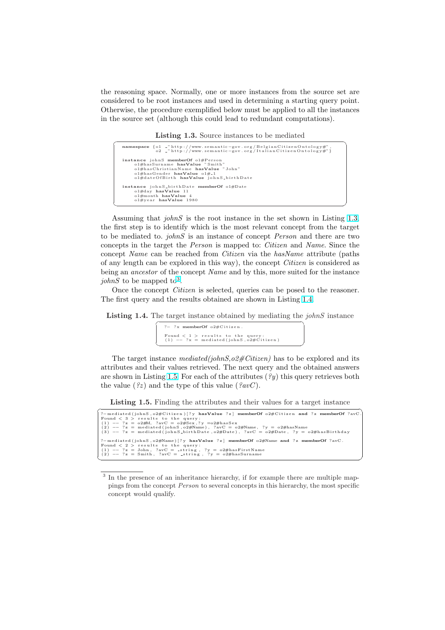<span id="page-6-0"></span>the reasoning space. Normally, one or more instances from the source set are considered to be root instances and used in determining a starting query point. Otherwise, the procedure exemplified below must be applied to all the instances in the source set (although this could lead to redundant computations).

Listing  $1.3$ . Source instances to be mediated

| namespace {o1 _"http://www.semantic-gov.org/BelgianCitizenOntology#",<br>$o2$ _"http://www.semantic-gov.org/ItalianCitizenOntology#"}                                                |  |
|--------------------------------------------------------------------------------------------------------------------------------------------------------------------------------------|--|
| instance johnS memberOf o1#Person<br>o1#hasSurname hasValue "Smith"<br>o1#hasChristianName hasValue "John"<br>o1#hasGender hasValue o1#_1<br>o1#dateOfBirth hasValue johnS_birthDate |  |
| instance johnS_birthDate memberOf o1#Date<br>o1#day hasValue 11<br>$o1\#$ month has Value 4<br>$o1#year$ has Value 1980                                                              |  |

Assuming that johnS is the root instance in the set shown in Listing 1.3, the first step is to identify which is the most relevant concept from the target to be mediated to. johnS is an instance of concept Person and there are two concepts in the target the Person is mapped to: Citizen and Name. Since the concept Name can be reached from Citizen via the hasName attribute (paths of any length can be explored in this way), the concept Citizen is considered as being an ancestor of the concept Name and by this, more suited for the instance johnS to be mapped to<sup>3</sup>.

Once the concept Citizen is selected, queries can be posed to the reasoner. The first query and the results obtained are shown in Listing 1.4.

**Listing 1.4.** The target instance obtained by mediating the  $\text{iohnS}$  instance

| ?- ?x memberOf $o2\#C$ itizen.                                                    |  |
|-----------------------------------------------------------------------------------|--|
| Found $< 1$ > results to the query:<br>$(1)$ -- ?x = mediated (johnS, o2#Citizen) |  |

The target instance mediated(johnS,  $o2\#Citizen$ ) has to be explored and its attributes and their values retrieved. The next query and the obtained answers are shown in Listing 1.5. For each of the attributes  $(\frac{9}{2}y)$  this query retrieves both the value  $(2z)$  and the type of this value  $(2avC)$ .

**Listing 1.5.** Finding the attributes and their values for a target instance

| ?-mediated(johnS, o2#Citizen)[?y hasValue ?z] memberOf o2#Citizen and ?z memberOf ?avC.                   |
|-----------------------------------------------------------------------------------------------------------|
| Found $< 3$ > results to the query:                                                                       |
| $(1)$ -- $?z = 0.2$ #M, $?avC = 0.2$ #Sex, $?y = 0.2$ #has Sex                                            |
| $(2)$ -- $?z$ = mediated (johnS, o2#Name), $?avC = 02#Name$ , $?y = 02#hasName$                           |
| (3) $ \frac{2}{\pi}$ = mediated (john S_birth Date, o2#Date), $2wC = 0.2#Date$ , $2y = 0.2#base$ Batelery |
|                                                                                                           |
| ?-mediated(johnS, o2#Name)[?y hasValue ?z] memberOf o2#Name and ?z memberOf ?avC.                         |
| Found $< 2 >$ results to the query:                                                                       |
| $(1)$ -- ?z = John, ?avC = _string, ?y = o2#hasFirstName                                                  |
| $(2)$ -- $?z = Smith$ , $?avC = string$ , $?y = o2\#hasSurname$                                           |
|                                                                                                           |

<sup>&</sup>lt;sup>3</sup> In the presence of an inheritance hierarchy, if for example there are multiple mappings from the concept Person to several concepts in this hierarchy, the most specific concept would qualify.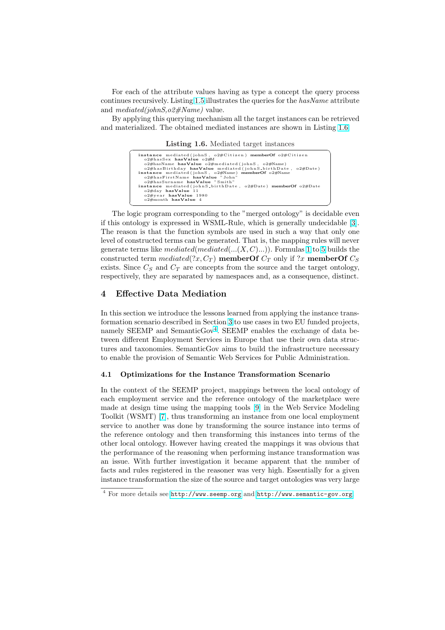For each of the attribute values having as type a concept the query process continues recursively. Listing 1.5 illustrates the queries for the  $hasName$  attribute and  $mediated(johnS, o2\#Name)$  value.

By applying this querying mechanism all the target instances can be retrieved and materialized. The obtained mediated instances are shown in Listing 1.6.

Listing [1.6](#page-6-0). Mediated target instances



The logic program corresponding to the "merged ontology" is decidable even if this ontology is expressed in WSML-Rule, which is generally undecidable [3]. The reason is that the function symbols are used in such a way that only one level of constructed terms can be generated. That is, the mapping rules will never generate terms like mediated(mediated(... $(X, C)$ ...)). Formulas 1 to 5 builds the constructed term mediated(?x,  $C_T$  $C_T$ ) memberOf  $C_T$  only if ?x memberOf  $C_S$ exists. Since  $C_S$  and  $C_T$  are concepts from the source and the target ontology, respectively, they are separated by namespaces and, as a consequence, distinct.

### 4 Effective Data Mediation

In this section we introduce the lessons learned from applying the instance transformation scenario described in Section 3 to use cases in two EU funded projects, namely SEEMP and SemanticGov<sup>4</sup>. SEEMP enables the exchange of data between different Employment Services in Europe that use their own data structures and taxonomies. SemanticGov aims to build the infrastructure necessary to enable the provision of Semantic W[eb](#page-2-0) Services for Public Administration.

#### 4.1 Optimizations for the Instance Transformation Scenario

In the context of the SEEMP project, mappings between the local ontology of each employment service and the reference ontology of the marketplace were made at design time using the mapping tools [9] in the Web Service Modeling Toolkit (WSMT) [7], thus transforming an instance from one local employment service to another was done by transforming the source instance into terms of the reference ontology and then transforming this instances into terms of the other local ontology. However having created t[he](#page-11-0) mappings it was obvious that the performance o[f t](#page-11-0)he reasoning when performing instance transformation was an issue. With further investigation it became apparent that the number of facts and rules registered in the reasoner was very high. Essentially for a given instance transformation the size of the source and target ontologies was very large

<sup>4</sup> For more details see http://www.seemp.org and http://www.semantic-gov.org.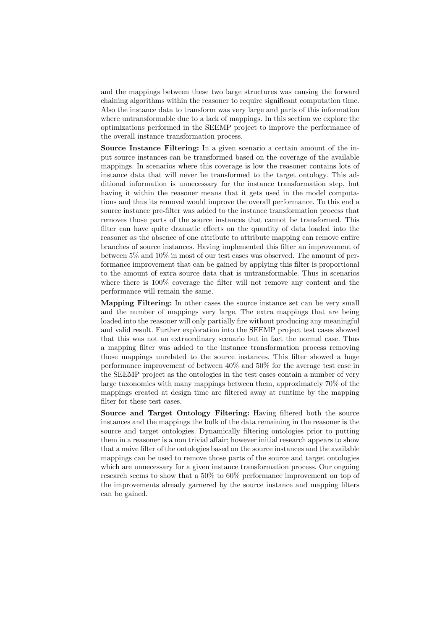and the mappings between these two large structures was causing the forward chaining algorithms within the reasoner to require significant computation time. Also the instance data to transform was very large and parts of this information where untransformable due to a lack of mappings. In this section we explore the optimizations performed in the SEEMP project to improve the performance of the overall instance transformation process.

Source Instance Filtering: In a given scenario a certain amount of the input source instances can be transformed based on the coverage of the available mappings. In scenarios where this coverage is low the reasoner contains lots of instance data that will never be transformed to the target ontology. This additional information is unnecessary for the instance transformation step, but having it within the reasoner means that it gets used in the model computations and thus its removal would improve the overall performance. To this end a source instance pre-filter was added to the instance transformation process that removes those parts of the source instances that cannot be transformed. This filter can have quite dramatic effects on the quantity of data loaded into the reasoner as the absence of one attribute to attribute mapping can remove entire branches of source instances. Having implemented this filter an improvement of between 5% and 10% in most of our test cases was observed. The amount of performance improvement that can be gained by applying this filter is proportional to the amount of extra source data that is untransformable. Thus in scenarios where there is 100% coverage the filter will not remove any content and the performance will remain the same.

Mapping Filtering: In other cases the source instance set can be very small and the number of mappings very large. The extra mappings that are being loaded into the reasoner will only partially fire without producing any meaningful and valid result. Further exploration into the SEEMP project test cases showed that this was not an extraordinary scenario but in fact the normal case. Thus a mapping filter was added to the instance transformation process removing those mappings unrelated to the source instances. This filter showed a huge performance improvement of between 40% and 50% for the average test case in the SEEMP project as the ontologies in the test cases contain a number of very large taxonomies with many mappings between them, approximately 70% of the mappings created at design time are filtered away at runtime by the mapping filter for these test cases.

Source and Target Ontology Filtering: Having filtered both the source instances and the mappings the bulk of the data remaining in the reasoner is the source and target ontologies. Dynamically filtering ontologies prior to putting them in a reasoner is a non trivial affair; however initial research appears to show that a naive filter of the ontologies based on the source instances and the available mappings can be used to remove those parts of the source and target ontologies which are unnecessary for a given instance transformation process. Our ongoing research seems to show that a 50% to 60% performance improvement on top of the improvements already garnered by the source instance and mapping filters can be gained.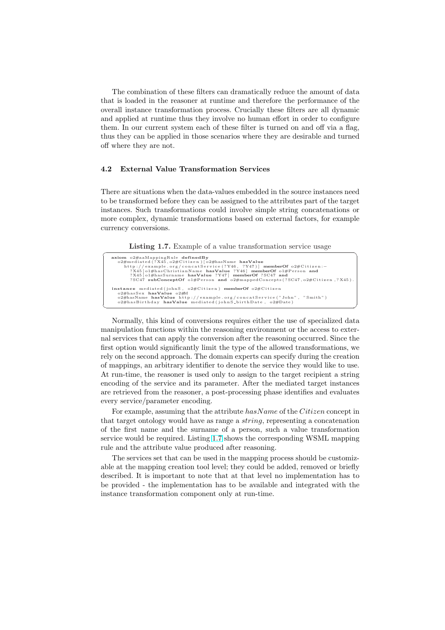The combination of these filters can dramatically reduce the amount of data that is loaded in the reasoner at runtime and therefore the performance of the overall instance transformation process. Crucially these filters are all dynamic and applied at runtime thus they involve no human effort in order to configure them. In our current system each of these filter is turned on and off via a flag, thus they can be applied in those scenarios where they are desirable and turned off where they are not.

#### 4.2 External Value Transformation Services

There are situations when the data-values embedded in the source instances need to be transformed before they can be assigned to the attributes part of the target instances. Such transformations could involve simple string concatenations or more complex, dynamic transformations based on external factors, for example currency conversions.

Listing 1.7. Example of a value transformation service usage

| axiom o2#aaMappingRule definedBy                                             |
|------------------------------------------------------------------------------|
| o2#mediated(?X45,o2#Citizen)[o2#hasName hasValue                             |
| http://example.org/concatService(?Y46, ?Y47)] memberOf $o2\#C$ itizen:-      |
| ?X45 [o1#hasChristianName hasValue ?Y46] memberOf o1#Person and              |
| ?X45 [o1#hasSurname hasValue ?Y47] memberOf ?SC47 and                        |
| ?SC47 subConceptOf o1#Person and o2#mappedConcepts(?SC47, o2#Citizen, ?X45). |
| instance mediated (johnS, $o2\#C$ itizen) memberOf $o2\#C$ itizen            |
| o2#hasSex hasValue o2#M                                                      |
| o2#hasName hasValue http://example.org/concatService("John", "Smith")        |
| $o2\#$ hasBirthday hasValue mediated (johnS_birthDate, $o2\#$ Date)          |
|                                                                              |

Normally, this kind of conversions requires either the use of specialized data manipulation functions within the reasoning environment or the access to external services that can apply the conversion after the reasoning occurred. Since the first option would significantly limit the type of the allowed transformations, we rely on the second approach. The domain experts can specify during the creation of mappings, an arbitrary identifier to denote the service they would like to use. At run-time, the reasoner is used only to assign to the target recipient a string encoding of the service and its parameter. After the mediated target instances are retrieved from the reasoner, a post-processing phase identifies and evaluates every service/parameter encoding.

For example, assuming that the attribute  $hasName$  of the Citizen concept in that target ontology would have as range a string, representing a concatenation of the first name and the surname of a person, such a value transformation service would be required. Listing 1.7 shows the corresponding WSML mapping rule and the attribute value produced after reasoning.

The services set that can be used in the mapping process should be customizable at the mapping creation tool level; they could be added, removed or briefly described. It is important to note that at that level no implementation has to be provided - the implementation has to be available and integrated with the instance transformation component only at run-time.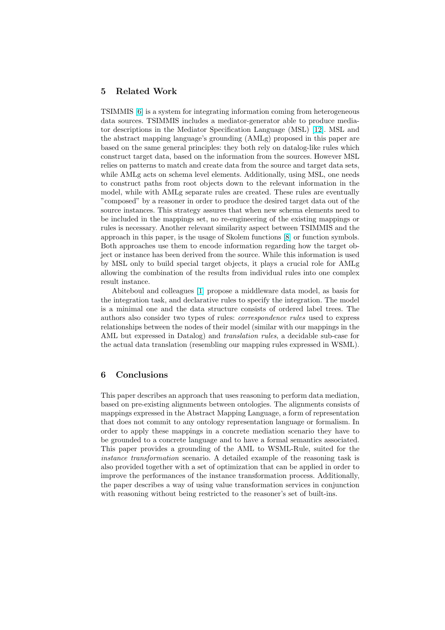## 5 Related Work

TSIMMIS [6] is a system for integrating information coming from heterogeneous data sources. TSIMMIS includes a mediator-generator able to produce mediator descriptions in the Mediator Specification Language (MSL) [12]. MSL and the abstract mapping language's grounding (AMLg) proposed in this paper are based on t[he](#page-11-0) same general principles: they both rely on datalog-like rules which construct target data, based on the information from the sources. However MSL relies on patterns to match and create data from the source and t[arge](#page-11-0)t data sets, while AMLg acts on schema level elements. Additionally, using MSL, one needs to construct paths from root objects down to the relevant information in the model, while with AMLg separate rules are created. These rules are eventually "composed" by a reasoner in order to produce the desired target data out of the source instances. This strategy assures that when new schema elements need to be included in the mappings set, no re-engineering of the existing mappings or rules is necessary. Another relevant similarity aspect between TSIMMIS and the approach in this paper, is the usage of Skolem functions [8] or function symbols. Both approaches use them to encode information regarding how the target object or instance has been derived from the source. While this information is used by MSL only to build special target objects, it plays a crucial role for AMLg allowing the combination of the results from individual [ru](#page-11-0)les into one complex result instance.

Abiteboul and colleagues [1] propose a middleware data model, as basis for the integration task, and declarative rules to specify the integration. The model is a minimal one and the data structure consists of ordered label trees. The authors also consider two types of rules: correspondence rules used to express relationships between the nod[es](#page-11-0) of their model (similar with our mappings in the AML but expressed in Datalog) and translation rules, a decidable sub-case for the actual data translation (resembling our mapping rules expressed in WSML).

### 6 Conclusions

This paper describes an approach that uses reasoning to perform data mediation, based on pre-existing alignments between ontologies. The alignments consists of mappings expressed in the Abstract Mapping Language, a form of representation that does not commit to any ontology representation language or formalism. In order to apply these mappings in a concrete mediation scenario they have to be grounded to a concrete language and to have a formal semantics associated. This paper provides a grounding of the AML to WSML-Rule, suited for the instance transformation scenario. A detailed example of the reasoning task is also provided together with a set of optimization that can be applied in order to improve the performances of the instance transformation process. Additionally, the paper describes a way of using value transformation services in conjunction with reasoning without being restricted to the reasoner's set of built-ins.